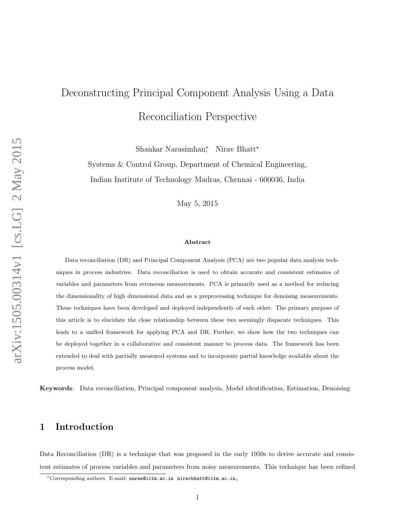# <span id="page-0-0"></span>Deconstructing Principal Component Analysis Using a Data Reconciliation Perspective

Shankar Narasimhan<sup>\*</sup>, Nirav Bhatt<sup>\*</sup>

Systems & Control Group, Department of Chemical Engineering, Indian Institute of Technology Madras, Chennai - 600036, India

May 5, 2015

### Abstract

Data reconciliation (DR) and Principal Component Analysis (PCA) are two popular data analysis techniques in process industries. Data reconciliation is used to obtain accurate and consistent estimates of variables and parameters from erroneous measurements. PCA is primarily used as a method for reducing the dimensionality of high dimensional data and as a preprocessing technique for denoising measurements. These techniques have been developed and deployed independently of each other. The primary purpose of this article is to elucidate the close relationship between these two seemingly disparate techniques. This leads to a unified framework for applying PCA and DR. Further, we show how the two techniques can be deployed together in a collaborative and consistent manner to process data. The framework has been extended to deal with partially measured systems and to incorporate partial knowledge available about the process model.

Keywords: Data reconciliation, Principal component analysis, Model identification, Estimation, Denoising

## 1 Introduction

Data Reconciliation (DR) is a technique that was proposed in the early 1950s to derive accurate and consistent estimates of process variables and parameters from noisy measurements. This technique has been refined

<sup>∗</sup>Corresponding authors. E-mail: naras@iitm.ac.in niravbhatt@iitm.ac.in,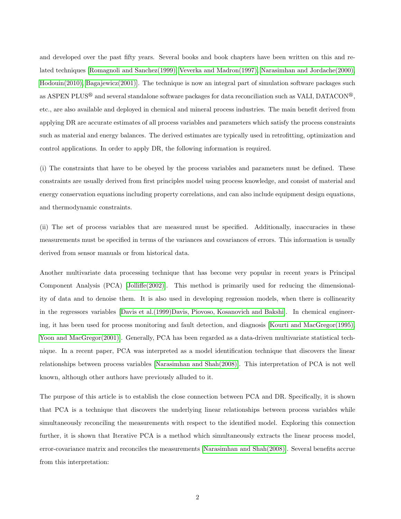and developed over the past fifty years. Several books and book chapters have been written on this and related techniques [\[Romagnoli and Sanchez\(1999\),](#page-30-0) [Veverka and Madron\(1997\),](#page-30-1) [Narasimhan and Jordache\(2000\),](#page-30-2) [Hodouin\(2010\),](#page-29-0) [Bagajewicz\(2001\)\]](#page-28-0). The technique is now an integral part of simulation software packages such as ASPEN PLUS<sup>®</sup> and several standalone software packages for data reconciliation such as VALI, DATACON<sup>®</sup>, etc., are also available and deployed in chemical and mineral process industries. The main benefit derived from applying DR are accurate estimates of all process variables and parameters which satisfy the process constraints such as material and energy balances. The derived estimates are typically used in retrofitting, optimization and control applications. In order to apply DR, the following information is required.

(i) The constraints that have to be obeyed by the process variables and parameters must be defined. These constraints are usually derived from first principles model using process knowledge, and consist of material and energy conservation equations including property correlations, and can also include equipment design equations, and thermodynamic constraints.

(ii) The set of process variables that are measured must be specified. Additionally, inaccuracies in these measurements must be specified in terms of the variances and covariances of errors. This information is usually derived from sensor manuals or from historical data.

Another multivariate data processing technique that has become very popular in recent years is Principal Component Analysis (PCA) [\[Jolliffe\(2002\)\]](#page-29-1). This method is primarily used for reducing the dimensionality of data and to denoise them. It is also used in developing regression models, when there is collinearity in the regressors variables [\[Davis et al.\(1999\)Davis, Piovoso, Kosanovich and Bakshi\]](#page-29-2). In chemical engineering, it has been used for process monitoring and fault detection, and diagnosis [\[Kourti and MacGregor\(1995\),](#page-30-3) [Yoon and MacGregor\(2001\)\]](#page-30-4). Generally, PCA has been regarded as a data-driven multivariate statistical technique. In a recent paper, PCA was interpreted as a model identification technique that discovers the linear relationships between process variables [\[Narasimhan and Shah\(2008\)\]](#page-30-5). This interpretation of PCA is not well known, although other authors have previously alluded to it.

The purpose of this article is to establish the close connection between PCA and DR. Specifically, it is shown that PCA is a technique that discovers the underlying linear relationships between process variables while simultaneously reconciling the measurements with respect to the identified model. Exploring this connection further, it is shown that Iterative PCA is a method which simultaneously extracts the linear process model, error-covariance matrix and reconciles the measurements [\[Narasimhan and Shah\(2008\)\]](#page-30-5). Several benefits accrue from this interpretation: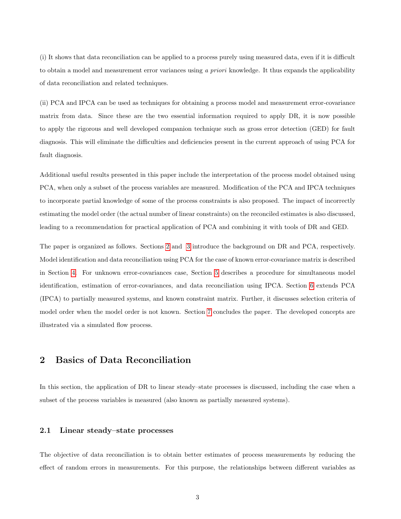(i) It shows that data reconciliation can be applied to a process purely using measured data, even if it is difficult to obtain a model and measurement error variances using a priori knowledge. It thus expands the applicability of data reconciliation and related techniques.

(ii) PCA and IPCA can be used as techniques for obtaining a process model and measurement error-covariance matrix from data. Since these are the two essential information required to apply DR, it is now possible to apply the rigorous and well developed companion technique such as gross error detection (GED) for fault diagnosis. This will eliminate the difficulties and deficiencies present in the current approach of using PCA for fault diagnosis.

Additional useful results presented in this paper include the interpretation of the process model obtained using PCA, when only a subset of the process variables are measured. Modification of the PCA and IPCA techniques to incorporate partial knowledge of some of the process constraints is also proposed. The impact of incorrectly estimating the model order (the actual number of linear constraints) on the reconciled estimates is also discussed, leading to a recommendation for practical application of PCA and combining it with tools of DR and GED.

The paper is organized as follows. Sections [2](#page-2-0) and [3](#page-8-0) introduce the background on DR and PCA, respectively. Model identification and data reconciliation using PCA for the case of known error-covariance matrix is described in Section [4.](#page-10-0) For unknown error-covariances case, Section [5](#page-17-0) describes a procedure for simultaneous model identification, estimation of error-covariances, and data reconciliation using IPCA. Section [6](#page-20-0) extends PCA (IPCA) to partially measured systems, and known constraint matrix. Further, it discusses selection criteria of model order when the model order is not known. Section [7](#page-28-1) concludes the paper. The developed concepts are illustrated via a simulated flow process.

# <span id="page-2-0"></span>2 Basics of Data Reconciliation

In this section, the application of DR to linear steady–state processes is discussed, including the case when a subset of the process variables is measured (also known as partially measured systems).

### 2.1 Linear steady–state processes

The objective of data reconciliation is to obtain better estimates of process measurements by reducing the effect of random errors in measurements. For this purpose, the relationships between different variables as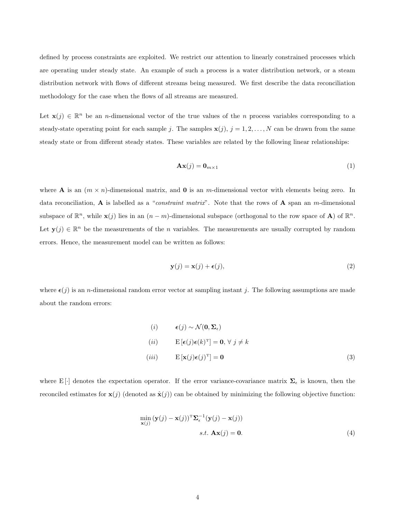defined by process constraints are exploited. We restrict our attention to linearly constrained processes which are operating under steady state. An example of such a process is a water distribution network, or a steam distribution network with flows of different streams being measured. We first describe the data reconciliation methodology for the case when the flows of all streams are measured.

Let  $\mathbf{x}(j) \in \mathbb{R}^n$  be an *n*-dimensional vector of the true values of the *n* process variables corresponding to a steady-state operating point for each sample j. The samples  $\mathbf{x}(j)$ ,  $j = 1, 2, ..., N$  can be drawn from the same steady state or from different steady states. These variables are related by the following linear relationships:

<span id="page-3-0"></span>
$$
\mathbf{A}\mathbf{x}(j) = \mathbf{0}_{m \times 1} \tag{1}
$$

where **A** is an  $(m \times n)$ -dimensional matrix, and **0** is an m-dimensional vector with elements being zero. In data reconciliation,  $A$  is labelled as a "*constraint matrix*". Note that the rows of  $A$  span an m-dimensional subspace of  $\mathbb{R}^n$ , while  $\mathbf{x}(j)$  lies in an  $(n-m)$ -dimensional subspace (orthogonal to the row space of **A**) of  $\mathbb{R}^n$ . Let  $y(j) \in \mathbb{R}^n$  be the measurements of the *n* variables. The measurements are usually corrupted by random errors. Hence, the measurement model can be written as follows:

$$
\mathbf{y}(j) = \mathbf{x}(j) + \boldsymbol{\epsilon}(j),\tag{2}
$$

where  $\epsilon(j)$  is an *n*-dimensional random error vector at sampling instant j. The following assumptions are made about the random errors:

<span id="page-3-2"></span>
$$
(i) \qquad \epsilon(j) \sim \mathcal{N}(\mathbf{0}, \Sigma_{\epsilon})
$$
  
\n
$$
(ii) \qquad \mathbf{E}[\epsilon(j)\epsilon(k)^{\mathrm{T}}] = \mathbf{0}, \forall j \neq k
$$
  
\n
$$
(iii) \qquad \mathbf{E}[\mathbf{x}(j)\epsilon(j)^{\mathrm{T}}] = \mathbf{0}
$$
\n(3)

where E[·] denotes the expectation operator. If the error variance-covariance matrix  $\Sigma_{\epsilon}$  is known, then the reconciled estimates for  $\mathbf{x}(j)$  (denoted as  $\hat{\mathbf{x}}(j)$ ) can be obtained by minimizing the following objective function:

<span id="page-3-1"></span>
$$
\min_{\mathbf{x}(j)} (\mathbf{y}(j) - \mathbf{x}(j))^{\mathrm{T}} \mathbf{\Sigma}_{\epsilon}^{-1} (\mathbf{y}(j) - \mathbf{x}(j))
$$
  
s.t.  $\mathbf{A}\mathbf{x}(j) = \mathbf{0}.$  (4)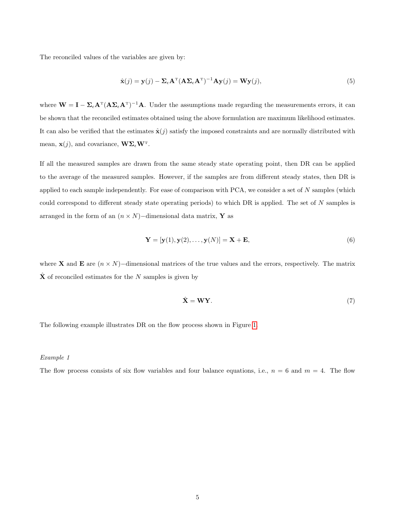The reconciled values of the variables are given by:

<span id="page-4-0"></span>
$$
\hat{\mathbf{x}}(j) = \mathbf{y}(j) - \Sigma_{\epsilon} \mathbf{A}^{\mathrm{T}} (\mathbf{A} \Sigma_{\epsilon} \mathbf{A}^{\mathrm{T}})^{-1} \mathbf{A} \mathbf{y}(j) = \mathbf{W} \mathbf{y}(j),
$$
\n(5)

where  $\mathbf{W} = \mathbf{I} - \Sigma_{\epsilon} \mathbf{A}^{T} (\mathbf{A} \Sigma_{\epsilon} \mathbf{A}^{T})^{-1} \mathbf{A}$ . Under the assumptions made regarding the measurements errors, it can be shown that the reconciled estimates obtained using the above formulation are maximum likelihood estimates. It can also be verified that the estimates  $\hat{\mathbf{x}}(j)$  satisfy the imposed constraints and are normally distributed with mean,  $\mathbf{x}(j)$ , and covariance,  $\mathbf{W}\mathbf{\Sigma}_{\epsilon}\mathbf{W}^{\mathrm{T}}$ .

If all the measured samples are drawn from the same steady state operating point, then DR can be applied to the average of the measured samples. However, if the samples are from different steady states, then DR is applied to each sample independently. For ease of comparison with PCA, we consider a set of N samples (which could correspond to different steady state operating periods) to which DR is applied. The set of N samples is arranged in the form of an  $(n \times N)$ −dimensional data matrix, Y as

$$
\mathbf{Y} = [\mathbf{y}(1), \mathbf{y}(2), \dots, \mathbf{y}(N)] = \mathbf{X} + \mathbf{E},\tag{6}
$$

where **X** and **E** are  $(n \times N)$ –dimensional matrices of the true values and the errors, respectively. The matrix  $\hat{\mathbf{X}}$  of reconciled estimates for the N samples is given by

$$
\hat{\mathbf{X}} = \mathbf{W}\mathbf{Y}.\tag{7}
$$

The following example illustrates DR on the flow process shown in Figure [1.](#page-6-0)

### Example 1

The flow process consists of six flow variables and four balance equations, i.e.,  $n = 6$  and  $m = 4$ . The flow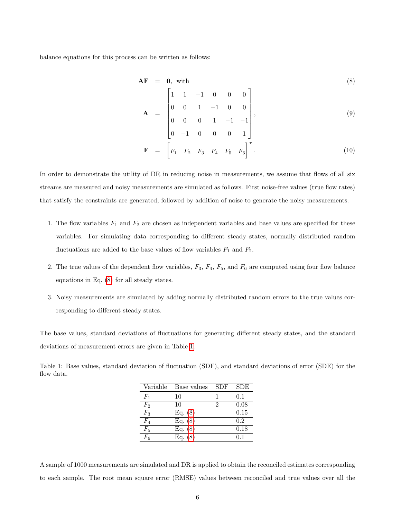balance equations for this process can be written as follows:

<span id="page-5-0"></span>
$$
\mathbf{AF} = \mathbf{0}, \text{ with} \\ \begin{bmatrix} 1 & 1 & -1 & 0 & 0 & 0 \end{bmatrix}
$$
 (8)

$$
\mathbf{A} = \begin{bmatrix} 0 & 0 & 1 & -1 & 0 & 0 \\ 0 & 0 & 0 & 1 & -1 & -1 \\ 0 & 0 & 0 & 1 & -1 & -1 \end{bmatrix}, \tag{9}
$$

$$
\mathbf{F} = \begin{bmatrix} 0 & -1 & 0 & 0 & 0 & 1 \end{bmatrix}^{T}
$$

$$
\mathbf{F} = \begin{bmatrix} F_1 & F_2 & F_3 & F_4 & F_5 & F_6 \end{bmatrix}^{T}.
$$
(10)

In order to demonstrate the utility of DR in reducing noise in measurements, we assume that flows of all six streams are measured and noisy measurements are simulated as follows. First noise-free values (true flow rates) that satisfy the constraints are generated, followed by addition of noise to generate the noisy measurements.

- 1. The flow variables  $F_1$  and  $F_2$  are chosen as independent variables and base values are specified for these variables. For simulating data corresponding to different steady states, normally distributed random fluctuations are added to the base values of flow variables  $F_1$  and  $F_2$ .
- 2. The true values of the dependent flow variables,  $F_3$ ,  $F_4$ ,  $F_5$ , and  $F_6$  are computed using four flow balance equations in Eq. [\(8\)](#page-5-0) for all steady states.
- 3. Noisy measurements are simulated by adding normally distributed random errors to the true values corresponding to different steady states.

The base values, standard deviations of fluctuations for generating different steady states, and the standard deviations of measurement errors are given in Table [1.](#page-5-1)

<span id="page-5-1"></span>Table 1: Base values, standard deviation of fluctuation (SDF), and standard deviations of error (SDE) for the flow data.

| Variable          | Base values | <b>SDF</b> | <b>SDE</b> |
|-------------------|-------------|------------|------------|
| $F_1$             | 10          |            | 0.1        |
| F2                | 10          | 2          | 0.08       |
| $F_{\rm 3}$       | Eq. (8)     |            | 0.15       |
| $F_{4}$           | Eq. (8)     |            | 0.2        |
| $F_{5}$           | Eq. (8)     |            | 0.18       |
| $H_{\mathcal{C}}$ | Eα.         |            | 01         |

A sample of 1000 measurements are simulated and DR is applied to obtain the reconciled estimates corresponding to each sample. The root mean square error (RMSE) values between reconciled and true values over all the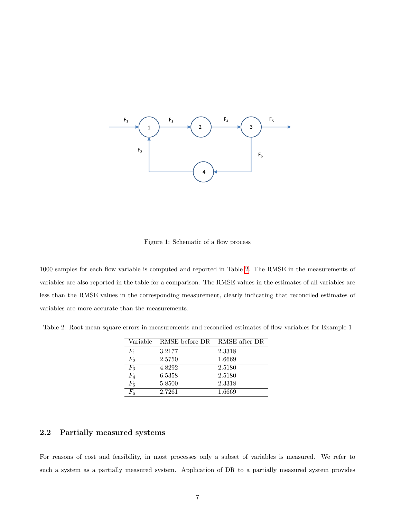

<span id="page-6-0"></span>Figure 1: Schematic of a flow process

1000 samples for each flow variable is computed and reported in Table [2.](#page-6-1) The RMSE in the measurements of variables are also reported in the table for a comparison. The RMSE values in the estimates of all variables are less than the RMSE values in the corresponding measurement, clearly indicating that reconciled estimates of variables are more accurate than the measurements.

| Variable | RMSE before DR | RMSE after DR |
|----------|----------------|---------------|
| $F_1$    | 3.2177         | 2.3318        |
| $F_2$    | 2.5750         | 1.6669        |
| $F_3$    | 4.8292         | 2.5180        |
| $F_4$    | 6.5358         | 2.5180        |
| $F_5$    | 5.8500         | 2.3318        |
| $F_{6}$  | 2.7261         | 1.6669        |

<span id="page-6-1"></span>Table 2: Root mean square errors in measurements and reconciled estimates of flow variables for Example 1

### <span id="page-6-2"></span>2.2 Partially measured systems

For reasons of cost and feasibility, in most processes only a subset of variables is measured. We refer to such a system as a partially measured system. Application of DR to a partially measured system provides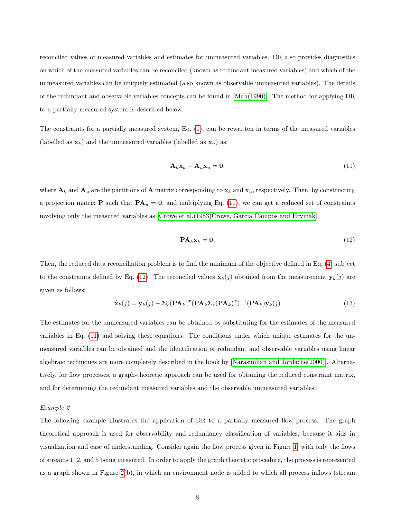reconciled values of measured variables and estimates for unmeasured variables. DR also provides diagnostics on which of the measured variables can be reconciled (known as redundant measured variables) and which of the unmeasured variables can be uniquely estimated (also known as observable unmeasured variables). The details of the redundant and observable variables concepts can be found in [\[Mah\(1990\)\]](#page-30-6). The method for applying DR to a partially measured system is described below.

The constraints for a partially measured system, Eq. [\(1\)](#page-3-0), can be rewritten in terms of the measured variables (labelled as  $\mathbf{x}_k$ ) and the unmeasured variables (labelled as  $\mathbf{x}_u$ ) as:

<span id="page-7-0"></span>
$$
\mathbf{A}_k \mathbf{x}_k + \mathbf{A}_u \mathbf{x}_u = \mathbf{0},\tag{11}
$$

where  $A_k$  and  $A_u$  are the partitions of A matrix corresponding to  $x_k$  and  $x_u$ , respectively. Then, by constructing a projection matrix **P** such that  $\mathbf{PA}_u = \mathbf{0}$ , and multiplying Eq. [\(11\)](#page-7-0), we can get a reduced set of constraints involving only the measured variables as [\[Crowe et al.\(1983\)Crowe, Garcia Campos and Hrymak\]](#page-29-3):

<span id="page-7-1"></span>
$$
\mathbf{PA}_k \mathbf{x}_k = \mathbf{0}.\tag{12}
$$

Then, the reduced data reconciliation problem is to find the minimum of the objective defined in Eq. [\(4\)](#page-3-1) subject to the constraints defined by Eq. [\(12\)](#page-7-1). The reconciled values  $\hat{\mathbf{x}}_k(j)$  obtained from the measurement  $\mathbf{y}_k(j)$  are given as follows:

$$
\hat{\mathbf{x}}_k(j) = \mathbf{y}_k(j) - \Sigma_{\epsilon}(\mathbf{PA}_k)^{\mathrm{T}}(\mathbf{PA}_k \Sigma_{\epsilon}(\mathbf{PA}_k)^{\mathrm{T}})^{-1}(\mathbf{PA}_k)\mathbf{y}_k(j)
$$
\n(13)

The estimates for the unmeasured variables can be obtained by substituting for the estimates of the measured variables in Eq. [\(11\)](#page-7-0) and solving these equations. The conditions under which unique estimates for the unmeasured variables can be obtained and the identification of redundant and observable variables using linear algebraic techniques are more completely described in the book by [\[Narasimhan and Jordache\(2000\)\]](#page-30-2). Alternatively, for flow processes, a graph-theoretic approach can be used for obtaining the reduced constraint matrix, and for determining the redundant measured variables and the observable unmeasured variables.

### Example 2

The following example illustrates the application of DR to a partially measured flow process. The graph theoretical approach is used for observability and redundancy classification of variables, because it aids in visualization and ease of understanding. Consider again the flow process given in Figure [1,](#page-6-0) with only the flows of streams 1, 2, and 5 being measured. In order to apply the graph theoretic procedure, the process is represented as a graph shown in Figure [2\(](#page-9-0)b), in which an environment node is added to which all process inflows (stream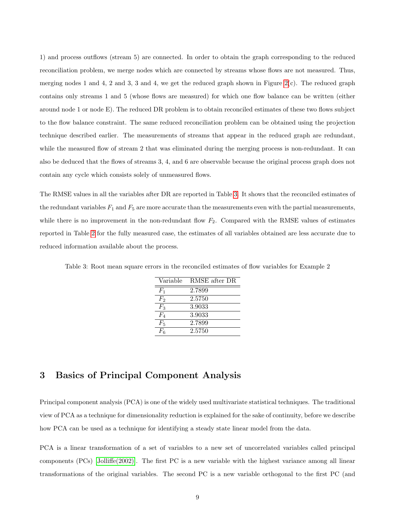1) and process outflows (stream 5) are connected. In order to obtain the graph corresponding to the reduced reconciliation problem, we merge nodes which are connected by streams whose flows are not measured. Thus, merging nodes 1 and 4, 2 and 3, 3 and 4, we get the reduced graph shown in Figure [2\(](#page-9-0)c). The reduced graph contains only streams 1 and 5 (whose flows are measured) for which one flow balance can be written (either around node 1 or node E). The reduced DR problem is to obtain reconciled estimates of these two flows subject to the flow balance constraint. The same reduced reconciliation problem can be obtained using the projection technique described earlier. The measurements of streams that appear in the reduced graph are redundant, while the measured flow of stream 2 that was eliminated during the merging process is non-redundant. It can also be deduced that the flows of streams 3, 4, and 6 are observable because the original process graph does not contain any cycle which consists solely of unmeasured flows.

The RMSE values in all the variables after DR are reported in Table [3.](#page-8-1) It shows that the reconciled estimates of the redundant variables  $F_1$  and  $F_5$  are more accurate than the measurements even with the partial measurements, while there is no improvement in the non-redundant flow  $F_2$ . Compared with the RMSE values of estimates reported in Table [2](#page-6-1) for the fully measured case, the estimates of all variables obtained are less accurate due to reduced information available about the process.

| Variable          | RMSE after DR |
|-------------------|---------------|
| $F_1$             | 2.7899        |
| $F_2$             | 2.5750        |
| $F_3$             | 3.9033        |
| $F_{A}$           | 3.9033        |
| $F_5$             | 2.7899        |
| $H_{\mathcal{L}}$ | 2.5750        |

<span id="page-8-1"></span>Table 3: Root mean square errors in the reconciled estimates of flow variables for Example 2

# <span id="page-8-0"></span>3 Basics of Principal Component Analysis

Principal component analysis (PCA) is one of the widely used multivariate statistical techniques. The traditional view of PCA as a technique for dimensionality reduction is explained for the sake of continuity, before we describe how PCA can be used as a technique for identifying a steady state linear model from the data.

PCA is a linear transformation of a set of variables to a new set of uncorrelated variables called principal components (PCs) [\[Jolliffe\(2002\)\]](#page-29-1). The first PC is a new variable with the highest variance among all linear transformations of the original variables. The second PC is a new variable orthogonal to the first PC (and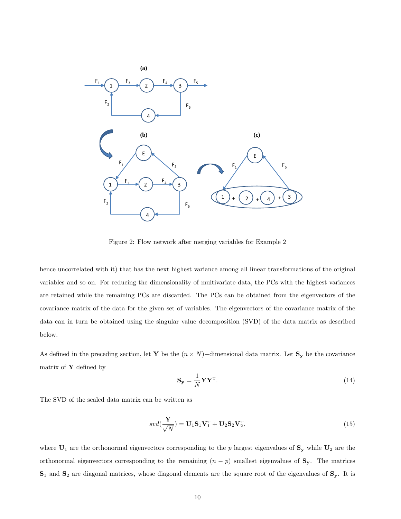

Figure 2: Flow network after merging variables for Example 2

hence uncorrelated with it) that has the next highest variance among all linear transformations of the original variables and so on. For reducing the dimensionality of multivariate data, the PCs with the highest variances are retained while the remaining PCs are discarded. The PCs can be obtained from the eigenvectors of the covariance matrix of the data for the given set of variables. The eigenvectors of the covariance matrix of the data can in turn be obtained using the singular value decomposition (SVD) of the data matrix as described below.

As defined in the preceding section, let Y be the  $(n \times N)$ −dimensional data matrix. Let  $S_y$  be the covariance matrix of  $\mathbf Y$  defined by

<span id="page-9-1"></span><span id="page-9-0"></span>
$$
\mathbf{S}_{\mathbf{y}} = \frac{1}{N} \mathbf{Y} \mathbf{Y}^{\mathrm{T}}.
$$
 (14)

The SVD of the scaled data matrix can be written as

$$
svd(\frac{\mathbf{Y}}{\sqrt{N}})=\mathbf{U}_1\mathbf{S}_1\mathbf{V}_1^{\mathrm{T}}+\mathbf{U}_2\mathbf{S}_2\mathbf{V}_2^{\mathrm{T}},\tag{15}
$$

where  $U_1$  are the orthonormal eigenvectors corresponding to the p largest eigenvalues of  $S_y$  while  $U_2$  are the orthonormal eigenvectors corresponding to the remaining  $(n - p)$  smallest eigenvalues of  $S_y$ . The matrices  $S_1$  and  $S_2$  are diagonal matrices, whose diagonal elements are the square root of the eigenvalues of  $S_y$ . It is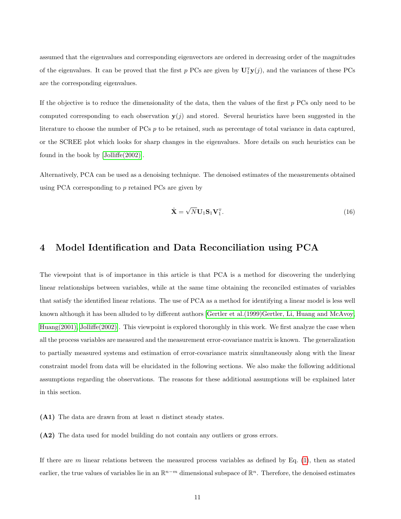assumed that the eigenvalues and corresponding eigenvectors are ordered in decreasing order of the magnitudes of the eigenvalues. It can be proved that the first p PCs are given by  $U_1^T y(j)$ , and the variances of these PCs are the corresponding eigenvalues.

If the objective is to reduce the dimensionality of the data, then the values of the first  $p$  PCs only need to be computed corresponding to each observation  $y(j)$  and stored. Several heuristics have been suggested in the literature to choose the number of PCs p to be retained, such as percentage of total variance in data captured, or the SCREE plot which looks for sharp changes in the eigenvalues. More details on such heuristics can be found in the book by [\[Jolliffe\(2002\)\]](#page-29-1).

Alternatively, PCA can be used as a denoising technique. The denoised estimates of the measurements obtained using PCA corresponding to  $p$  retained PCs are given by

<span id="page-10-1"></span>
$$
\hat{\mathbf{X}} = \sqrt{N} \mathbf{U}_1 \mathbf{S}_1 \mathbf{V}_1^{\mathrm{T}}.
$$
\n(16)

# <span id="page-10-0"></span>4 Model Identification and Data Reconciliation using PCA

The viewpoint that is of importance in this article is that PCA is a method for discovering the underlying linear relationships between variables, while at the same time obtaining the reconciled estimates of variables that satisfy the identified linear relations. The use of PCA as a method for identifying a linear model is less well known although it has been alluded to by different authors [\[Gertler et al.\(1999\)Gertler, Li, Huang and McAvoy,](#page-29-4) [Huang\(2001\),](#page-29-5) [Jolliffe\(2002\)\]](#page-29-1). This viewpoint is explored thoroughly in this work. We first analyze the case when all the process variables are measured and the measurement error-covariance matrix is known. The generalization to partially measured systems and estimation of error-covariance matrix simultaneously along with the linear constraint model from data will be elucidated in the following sections. We also make the following additional assumptions regarding the observations. The reasons for these additional assumptions will be explained later in this section.

- (A1) The data are drawn from at least n distinct steady states.
- (A2) The data used for model building do not contain any outliers or gross errors.

If there are  $m$  linear relations between the measured process variables as defined by Eq.  $(1)$ , then as stated earlier, the true values of variables lie in an  $\mathbb{R}^{n-m}$  dimensional subspace of  $\mathbb{R}^n$ . Therefore, the denoised estimates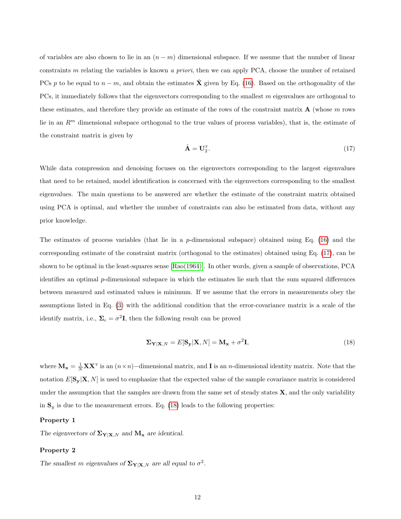of variables are also chosen to lie in an  $(n - m)$  dimensional subspace. If we assume that the number of linear constraints m relating the variables is known a priori, then we can apply PCA, choose the number of retained PCs p to be equal to  $n - m$ , and obtain the estimates  $\hat{\mathbf{X}}$  given by Eq. [\(16\)](#page-10-1). Based on the orthogonality of the PCs, it immediately follows that the eigenvectors corresponding to the smallest m eigenvalues are orthogonal to these estimates, and therefore they provide an estimate of the rows of the constraint matrix  $\bf{A}$  (whose m rows lie in an  $R<sup>m</sup>$  dimensional subspace orthogonal to the true values of process variables), that is, the estimate of the constraint matrix is given by

<span id="page-11-0"></span>
$$
\hat{\mathbf{A}} = \mathbf{U}_2^{\mathrm{T}}.\tag{17}
$$

While data compression and denoising focuses on the eigenvectors corresponding to the largest eigenvalues that need to be retained, model identification is concerned with the eigenvectors corresponding to the smallest eigenvalues. The main questions to be answered are whether the estimate of the constraint matrix obtained using PCA is optimal, and whether the number of constraints can also be estimated from data, without any prior knowledge.

The estimates of process variables (that lie in a  $p$ -dimensional subspace) obtained using Eq. [\(16\)](#page-10-1) and the corresponding estimate of the constraint matrix (orthogonal to the estimates) obtained using Eq. [\(17\)](#page-11-0), can be shown to be optimal in the least-squares sense [\[Rao\(1964\)\]](#page-30-7). In other words, given a sample of observations, PCA identifies an optimal p-dimensional subspace in which the estimates lie such that the sum squared differences between measured and estimated values is minimum. If we assume that the errors in measurements obey the assumptions listed in Eq. [\(3\)](#page-3-2) with the additional condition that the error-covariance matrix is a scale of the identify matrix, i.e.,  $\Sigma_{\epsilon} = \sigma^2 \mathbf{I}$ , then the following result can be proved

<span id="page-11-2"></span><span id="page-11-1"></span>
$$
\Sigma_{\mathbf{Y}|\mathbf{X},N} = E[\mathbf{S}_{\mathbf{y}}|\mathbf{X},N] = \mathbf{M}_{\mathbf{x}} + \sigma^2 \mathbf{I},\tag{18}
$$

where  $M_x = \frac{1}{N} XX^T$  is an  $(n \times n)$  –dimensional matrix, and **I** is an *n*-dimensional identity matrix. Note that the notation  $E[\mathbf{S}_{\mathbf{y}}|\mathbf{X}, N]$  is used to emphasize that the expected value of the sample covariance matrix is considered under the assumption that the samples are drawn from the same set of steady states  $X$ , and the only variability in  $\mathbf{S}_y$  is due to the measurement errors. Eq. [\(18\)](#page-11-1) leads to the following properties:

### Property 1

The eigenvectors of  $\Sigma_{\mathbf{Y}|\mathbf{X},N}$  and  $\mathbf{M}_{\mathbf{x}}$  are identical.

### <span id="page-11-3"></span>Property 2

The smallest m eigenvalues of  $\Sigma_{\mathbf{Y}|\mathbf{X},N}$  are all equal to  $\sigma^2$ .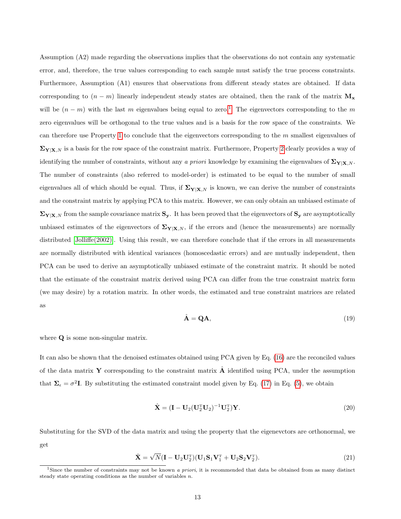Assumption (A2) made regarding the observations implies that the observations do not contain any systematic error, and, therefore, the true values corresponding to each sample must satisfy the true process constraints. Furthermore, Assumption (A1) ensures that observations from different steady states are obtained. If data corresponding to  $(n - m)$  linearly independent steady states are obtained, then the rank of the matrix  $M_x$ will be  $(n - m)$  with the last m eigenvalues being equal to zero.<sup>[1](#page-0-0)</sup> The eigenvectors corresponding to the m zero eigenvalues will be orthogonal to the true values and is a basis for the row space of the constraints. We can therefore use Property [1](#page-11-2) to conclude that the eigenvectors corresponding to the m smallest eigenvalues of  $\Sigma_{Y|X,N}$  is a basis for the row space of the constraint matrix. Furthermore, Property [2](#page-11-3) clearly provides a way of identifying the number of constraints, without any a priori knowledge by examining the eigenvalues of  $\Sigma_{Y|X,N}$ . The number of constraints (also referred to model-order) is estimated to be equal to the number of small eigenvalues all of which should be equal. Thus, if  $\Sigma_{Y|X,N}$  is known, we can derive the number of constraints and the constraint matrix by applying PCA to this matrix. However, we can only obtain an unbiased estimate of  $\Sigma_{Y|X,N}$  from the sample covariance matrix  $S_y$ . It has been proved that the eigenvectors of  $S_y$  are asymptotically unbiased estimates of the eigenvectors of  $\Sigma_{Y|X,N}$ , if the errors and (hence the measurements) are normally distributed [\[Jolliffe\(2002\)\]](#page-29-1). Using this result, we can therefore conclude that if the errors in all measurements are normally distributed with identical variances (homoscedastic errors) and are mutually independent, then PCA can be used to derive an asymptotically unbiased estimate of the constraint matrix. It should be noted that the estimate of the constraint matrix derived using PCA can differ from the true constraint matrix form (we may desire) by a rotation matrix. In other words, the estimated and true constraint matrices are related as

<span id="page-12-1"></span>
$$
\hat{\mathbf{A}} = \mathbf{Q}\mathbf{A},\tag{19}
$$

<span id="page-12-0"></span>where **Q** is some non-singular matrix.

It can also be shown that the denoised estimates obtained using PCA given by Eq. [\(16\)](#page-10-1) are the reconciled values of the data matrix Y corresponding to the constraint matrix  $\hat{A}$  identified using PCA, under the assumption that  $\Sigma_{\epsilon} = \sigma^2 I$ . By substituting the estimated constraint model given by Eq. [\(17\)](#page-11-0) in Eq. [\(5\)](#page-4-0), we obtain

$$
\hat{\mathbf{X}} = (\mathbf{I} - \mathbf{U}_2(\mathbf{U}_2^{\mathrm{T}} \mathbf{U}_2)^{-1} \mathbf{U}_2^{\mathrm{T}}) \mathbf{Y}.
$$
\n(20)

Substituting for the SVD of the data matrix and using the property that the eigenevctors are orthonormal, we get

$$
\hat{\mathbf{X}} = \sqrt{N}(\mathbf{I} - \mathbf{U}_2 \mathbf{U}_2^{\mathrm{T}})(\mathbf{U}_1 \mathbf{S}_1 \mathbf{V}_1^{\mathrm{T}} + \mathbf{U}_2 \mathbf{S}_2 \mathbf{V}_2^{\mathrm{T}}).
$$
\n(21)

<sup>&</sup>lt;sup>1</sup>Since the number of constraints may not be known a priori, it is recommended that data be obtained from as many distinct steady state operating conditions as the number of variables  $n$ .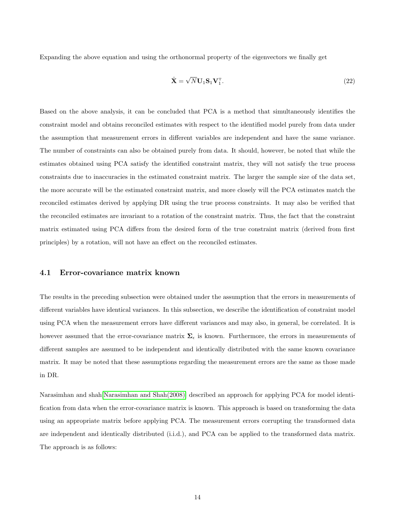Expanding the above equation and using the orthonormal property of the eigenvectors we finally get

$$
\hat{\mathbf{X}} = \sqrt{N} \mathbf{U}_1 \mathbf{S}_1 \mathbf{V}_1^{\mathrm{T}}.
$$
\n(22)

Based on the above analysis, it can be concluded that PCA is a method that simultaneously identifies the constraint model and obtains reconciled estimates with respect to the identified model purely from data under the assumption that measurement errors in different variables are independent and have the same variance. The number of constraints can also be obtained purely from data. It should, however, be noted that while the estimates obtained using PCA satisfy the identified constraint matrix, they will not satisfy the true process constraints due to inaccuracies in the estimated constraint matrix. The larger the sample size of the data set, the more accurate will be the estimated constraint matrix, and more closely will the PCA estimates match the reconciled estimates derived by applying DR using the true process constraints. It may also be verified that the reconciled estimates are invariant to a rotation of the constraint matrix. Thus, the fact that the constraint matrix estimated using PCA differs from the desired form of the true constraint matrix (derived from first principles) by a rotation, will not have an effect on the reconciled estimates.

### <span id="page-13-0"></span>4.1 Error-covariance matrix known

The results in the preceding subsection were obtained under the assumption that the errors in measurements of different variables have identical variances. In this subsection, we describe the identification of constraint model using PCA when the measurement errors have different variances and may also, in general, be correlated. It is however assumed that the error-covariance matrix  $\Sigma_{\epsilon}$  is known. Furthermore, the errors in measurements of different samples are assumed to be independent and identically distributed with the same known covariance matrix. It may be noted that these assumptions regarding the measurement errors are the same as those made in DR.

Narasimhan and shah[\[Narasimhan and Shah\(2008\)\]](#page-30-5) described an approach for applying PCA for model identification from data when the error-covariance matrix is known. This approach is based on transforming the data using an appropriate matrix before applying PCA. The measurement errors corrupting the transformed data are independent and identically distributed (i.i.d.), and PCA can be applied to the transformed data matrix. The approach is as follows: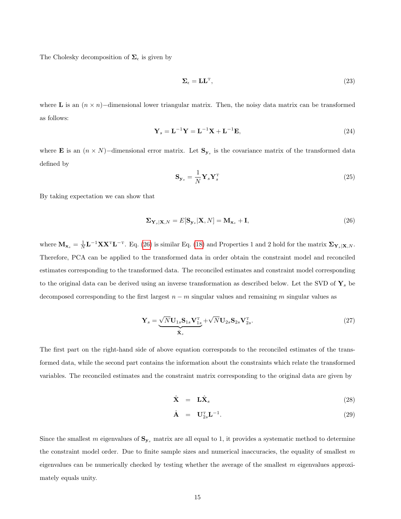The Cholesky decomposition of  $\Sigma_{\epsilon}$  is given by

$$
\Sigma_{\epsilon} = \mathbf{L}\mathbf{L}^{\mathrm{T}},\tag{23}
$$

<span id="page-14-1"></span>where L is an  $(n \times n)$ –dimensional lower triangular matrix. Then, the noisy data matrix can be transformed as follows:

$$
\mathbf{Y}_s = \mathbf{L}^{-1} \mathbf{Y} = \mathbf{L}^{-1} \mathbf{X} + \mathbf{L}^{-1} \mathbf{E},\tag{24}
$$

where **E** is an  $(n \times N)$ −dimensional error matrix. Let  $S_{y_s}$  is the covariance matrix of the transformed data defined by

<span id="page-14-0"></span>
$$
\mathbf{S}_{\mathbf{y}_s} = \frac{1}{N} \mathbf{Y}_s \mathbf{Y}_s^{\mathrm{T}}
$$
 (25)

By taking expectation we can show that

$$
\Sigma_{\mathbf{Y}_s|\mathbf{X},N} = E[\mathbf{S}_{\mathbf{y}_s}|\mathbf{X},N] = \mathbf{M}_{\mathbf{x}_s} + \mathbf{I},\tag{26}
$$

where  $\mathbf{M}_{\mathbf{x}_s} = \frac{1}{N} \mathbf{L}^{-1} \mathbf{X} \mathbf{X}^{\mathrm{T}} \mathbf{L}^{-\mathrm{T}}$ . Eq. [\(26\)](#page-14-0) is similar Eq. [\(18\)](#page-11-1) and Properties 1 and 2 hold for the matrix  $\mathbf{\Sigma}_{\mathbf{Y}_s|\mathbf{X},N}$ . Therefore, PCA can be applied to the transformed data in order obtain the constraint model and reconciled estimates corresponding to the transformed data. The reconciled estimates and constraint model corresponding to the original data can be derived using an inverse transformation as described below. Let the SVD of  $\mathbf{Y}_s$  be decomposed corresponding to the first largest  $n - m$  singular values and remaining m singular values as

$$
\mathbf{Y}_s = \underbrace{\sqrt{N} \mathbf{U}_{1s} \mathbf{S}_{1s} \mathbf{V}_{1s}^{\mathrm{T}}}_{\hat{\mathbf{X}}_s} + \sqrt{N} \mathbf{U}_{2s} \mathbf{S}_{2s} \mathbf{V}_{2s}^{\mathrm{T}}.
$$
\n(27)

The first part on the right-hand side of above equation corresponds to the reconciled estimates of the transformed data, while the second part contains the information about the constraints which relate the transformed variables. The reconciled estimates and the constraint matrix corresponding to the original data are given by

<span id="page-14-2"></span>
$$
\hat{\mathbf{X}} = \mathbf{L}\hat{\mathbf{X}}_s \tag{28}
$$

$$
\hat{\mathbf{A}} = \mathbf{U}_{2s}^{\mathrm{T}} \mathbf{L}^{-1}.
$$
\n(29)

Since the smallest m eigenvalues of  $S_{y_s}$  matrix are all equal to 1, it provides a systematic method to determine the constraint model order. Due to finite sample sizes and numerical inaccuracies, the equality of smallest  $m$ eigenvalues can be numerically checked by testing whether the average of the smallest m eigenvalues approximately equals unity.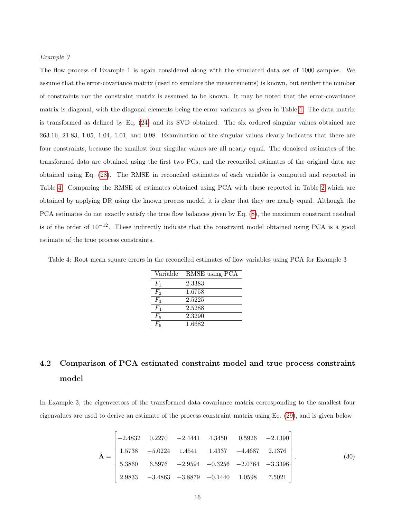### Example 3

The flow process of Example 1 is again considered along with the simulated data set of 1000 samples. We assume that the error-covariance matrix (used to simulate the measurements) is known, but neither the number of constraints nor the constraint matrix is assumed to be known. It may be noted that the error-covariance matrix is diagonal, with the diagonal elements being the error variances as given in Table [1.](#page-5-1) The data matrix is transformed as defined by Eq. [\(24\)](#page-14-1) and its SVD obtained. The six ordered singular values obtained are 263.16, 21.83, 1.05, 1.04, 1.01, and 0.98. Examination of the singular values clearly indicates that there are four constraints, because the smallest four singular values are all nearly equal. The denoised estimates of the transformed data are obtained using the first two PCs, and the reconciled estimates of the original data are obtained using Eq. [\(28\)](#page-14-2). The RMSE in reconciled estimates of each variable is computed and reported in Table [4.](#page-15-0) Comparing the RMSE of estimates obtained using PCA with those reported in Table [2](#page-6-1) which are obtained by applying DR using the known process model, it is clear that they are nearly equal. Although the PCA estimates do not exactly satisfy the true flow balances given by Eq. [\(8\)](#page-5-0), the maximum constraint residual is of the order of 10<sup>−</sup>12. These indirectly indicate that the constraint model obtained using PCA is a good estimate of the true process constraints.

<span id="page-15-0"></span>Table 4: Root mean square errors in the reconciled estimates of flow variables using PCA for Example 3

| Variable    | RMSE using PCA |
|-------------|----------------|
| $F_1$       | 2.3383         |
| F,          | 1.6758         |
| $F_3$       | 2.5225         |
| $F_{4}$     | 2.5288         |
| $F_{\rm 5}$ | 2.3290         |
| F'є         | 1.6682         |

# 4.2 Comparison of PCA estimated constraint model and true process constraint model

In Example 3, the eigenvectors of the transformed data covariance matrix corresponding to the smallest four eigenvalues are used to derive an estimate of the process constraint matrix using Eq. [\(29\)](#page-14-2), and is given below

$$
\hat{\mathbf{A}} = \begin{bmatrix}\n-2.4832 & 0.2270 & -2.4441 & 4.3450 & 0.5926 & -2.1390 \\
1.5738 & -5.0224 & 1.4541 & 1.4337 & -4.4687 & 2.1376 \\
5.3860 & 6.5976 & -2.9594 & -0.3256 & -2.0764 & -3.3396 \\
2.9833 & -3.4863 & -3.8879 & -0.1440 & 1.0598 & 7.5021\n\end{bmatrix}.
$$
\n(30)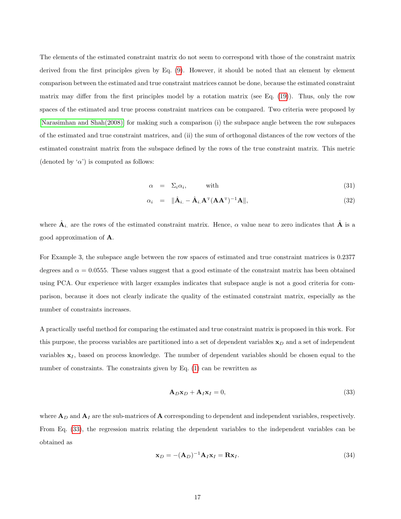The elements of the estimated constraint matrix do not seem to correspond with those of the constraint matrix derived from the first principles given by Eq. [\(9\)](#page-5-0). However, it should be noted that an element by element comparison between the estimated and true constraint matrices cannot be done, because the estimated constraint matrix may differ from the first principles model by a rotation matrix (see Eq. [\(19\)](#page-12-0)). Thus, only the row spaces of the estimated and true process constraint matrices can be compared. Two criteria were proposed by [\[Narasimhan and Shah\(2008\)\]](#page-30-5) for making such a comparison (i) the subspace angle between the row subspaces of the estimated and true constraint matrices, and (ii) the sum of orthogonal distances of the row vectors of the estimated constraint matrix from the subspace defined by the rows of the true constraint matrix. This metric (denoted by ' $\alpha$ ') is computed as follows:

$$
\alpha = \Sigma_i \alpha_i, \qquad \text{with} \tag{31}
$$

$$
\alpha_i = \|\hat{\mathbf{A}}_{i.} - \hat{\mathbf{A}}_{i.}\mathbf{A}^{\mathrm{T}}(\mathbf{A}\mathbf{A}^{\mathrm{T}})^{-1}\mathbf{A}\|,
$$
\n(32)

where  $\hat{A}_i$  are the rows of the estimated constraint matrix. Hence,  $\alpha$  value near to zero indicates that  $\hat{A}$  is a good approximation of A.

For Example 3, the subspace angle between the row spaces of estimated and true constraint matrices is 0.2377 degrees and  $\alpha = 0.0555$ . These values suggest that a good estimate of the constraint matrix has been obtained using PCA. Our experience with larger examples indicates that subspace angle is not a good criteria for comparison, because it does not clearly indicate the quality of the estimated constraint matrix, especially as the number of constraints increases.

A practically useful method for comparing the estimated and true constraint matrix is proposed in this work. For this purpose, the process variables are partitioned into a set of dependent variables  $x_D$  and a set of independent variables  $x<sub>I</sub>$ , based on process knowledge. The number of dependent variables should be chosen equal to the number of constraints. The constraints given by Eq. [\(1\)](#page-3-0) can be rewritten as

<span id="page-16-0"></span>
$$
\mathbf{A}_D \mathbf{x}_D + \mathbf{A}_I \mathbf{x}_I = 0,\tag{33}
$$

where  $A_D$  and  $A_I$  are the sub-matrices of A corresponding to dependent and independent variables, respectively. From Eq. [\(33\)](#page-16-0), the regression matrix relating the dependent variables to the independent variables can be obtained as

$$
\mathbf{x}_D = -(\mathbf{A}_D)^{-1} \mathbf{A}_I \mathbf{x}_I = \mathbf{R} \mathbf{x}_I.
$$
\n(34)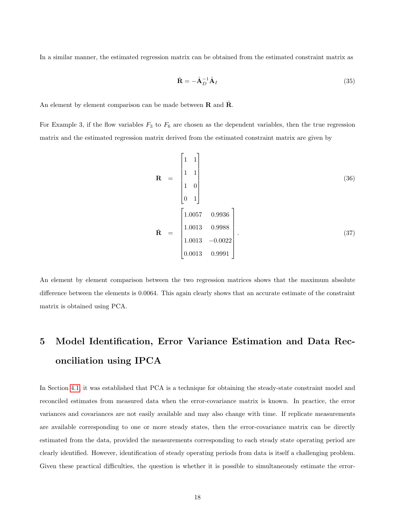In a similar manner, the estimated regression matrix can be obtained from the estimated constraint matrix as

$$
\hat{\mathbf{R}} = -\hat{\mathbf{A}}_D^{-1} \hat{\mathbf{A}}_I \tag{35}
$$

An element by element comparison can be made between  $\bf{R}$  and  $\bf{R}$ .

For Example 3, if the flow variables  $F_3$  to  $F_6$  are chosen as the dependent variables, then the true regression matrix and the estimated regression matrix derived from the estimated constraint matrix are given by

$$
\mathbf{R} = \begin{bmatrix} 1 & 1 \\ 1 & 1 \\ 1 & 0 \\ 0 & 1 \end{bmatrix}
$$
(36)  

$$
\hat{\mathbf{R}} = \begin{bmatrix} 1.0057 & 0.9936 \\ 1.0013 & 0.9988 \\ 1.0013 & -0.0022 \\ 0.0013 & 0.9991 \end{bmatrix}.
$$
(37)

An element by element comparison between the two regression matrices shows that the maximum absolute difference between the elements is 0.0064. This again clearly shows that an accurate estimate of the constraint matrix is obtained using PCA.

# <span id="page-17-0"></span>5 Model Identification, Error Variance Estimation and Data Reconciliation using IPCA

In Section [4.1,](#page-13-0) it was established that PCA is a technique for obtaining the steady-state constraint model and reconciled estimates from measured data when the error-covariance matrix is known. In practice, the error variances and covariances are not easily available and may also change with time. If replicate measurements are available corresponding to one or more steady states, then the error-covariance matrix can be directly estimated from the data, provided the measurements corresponding to each steady state operating period are clearly identified. However, identification of steady operating periods from data is itself a challenging problem. Given these practical difficulties, the question is whether it is possible to simultaneously estimate the error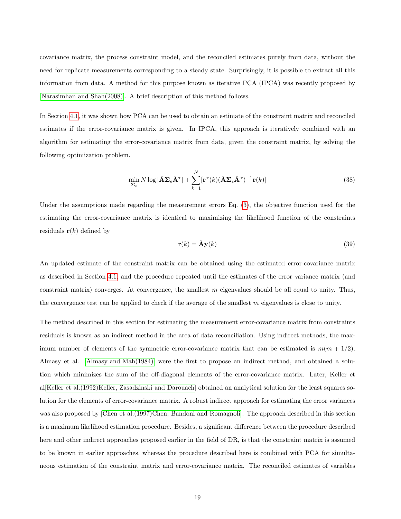covariance matrix, the process constraint model, and the reconciled estimates purely from data, without the need for replicate measurements corresponding to a steady state. Surprisingly, it is possible to extract all this information from data. A method for this purpose known as iterative PCA (IPCA) was recently proposed by [\[Narasimhan and Shah\(2008\)\]](#page-30-5). A brief description of this method follows.

In Section [4.1,](#page-13-0) it was shown how PCA can be used to obtain an estimate of the constraint matrix and reconciled estimates if the error-covariance matrix is given. In IPCA, this approach is iteratively combined with an algorithm for estimating the error-covariance matrix from data, given the constraint matrix, by solving the following optimization problem.

$$
\min_{\Sigma_{\epsilon}} N \log |\hat{\mathbf{A}} \Sigma_{\epsilon} \hat{\mathbf{A}}^{\mathrm{T}}| + \sum_{k=1}^{N} [\mathbf{r}^{\mathrm{T}}(k)(\hat{\mathbf{A}} \Sigma_{\epsilon} \hat{\mathbf{A}}^{\mathrm{T}})^{-1} \mathbf{r}(k)] \tag{38}
$$

Under the assumptions made regarding the measurement errors Eq.  $(3)$ , the objective function used for the estimating the error-covariance matrix is identical to maximizing the likelihood function of the constraints residuals  $r(k)$  defined by

$$
\mathbf{r}(k) = \hat{\mathbf{A}} \mathbf{y}(k) \tag{39}
$$

An updated estimate of the constraint matrix can be obtained using the estimated error-covariance matrix as described in Section [4.1,](#page-13-0) and the procedure repeated until the estimates of the error variance matrix (and constraint matrix) converges. At convergence, the smallest  $m$  eigenvalues should be all equal to unity. Thus, the convergence test can be applied to check if the average of the smallest  $m$  eigenvalues is close to unity.

The method described in this section for estimating the measurement error-covariance matrix from constraints residuals is known as an indirect method in the area of data reconciliation. Using indirect methods, the maximum number of elements of the symmetric error-covariance matrix that can be estimated is  $m(m + 1/2)$ . Almasy et al. [\[Almasy and Mah\(1984\)\]](#page-28-2) were the first to propose an indirect method, and obtained a solution which minimizes the sum of the off-diagonal elements of the error-covariance matrix. Later, Keller et al[\[Keller et al.\(1992\)Keller, Zasadzinski and Darouach\]](#page-30-8) obtained an analytical solution for the least squares solution for the elements of error-covariance matrix. A robust indirect approach for estimating the error variances was also proposed by [\[Chen et al.\(1997\)Chen, Bandoni and Romagnoli\]](#page-29-6). The approach described in this section is a maximum likelihood estimation procedure. Besides, a significant difference between the procedure described here and other indirect approaches proposed earlier in the field of DR, is that the constraint matrix is assumed to be known in earlier approaches, whereas the procedure described here is combined with PCA for simultaneous estimation of the constraint matrix and error-covariance matrix. The reconciled estimates of variables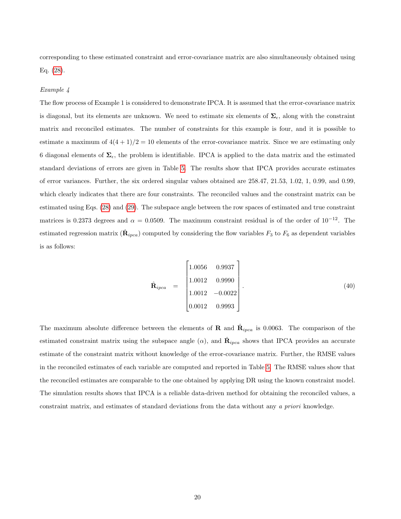corresponding to these estimated constraint and error-covariance matrix are also simultaneously obtained using Eq. [\(28\)](#page-14-2).

### Example 4

The flow process of Example 1 is considered to demonstrate IPCA. It is assumed that the error-covariance matrix is diagonal, but its elements are unknown. We need to estimate six elements of  $\Sigma_{\epsilon}$ , along with the constraint matrix and reconciled estimates. The number of constraints for this example is four, and it is possible to estimate a maximum of  $4(4+1)/2 = 10$  elements of the error-covariance matrix. Since we are estimating only 6 diagonal elements of  $\Sigma_{\epsilon}$ , the problem is identifiable. IPCA is applied to the data matrix and the estimated standard deviations of errors are given in Table [5.](#page-20-1) The results show that IPCA provides accurate estimates of error variances. Further, the six ordered singular values obtained are 258.47, 21.53, 1.02, 1, 0.99, and 0.99, which clearly indicates that there are four constraints. The reconciled values and the constraint matrix can be estimated using Eqs. [\(28\)](#page-14-2) and [\(29\)](#page-14-2). The subspace angle between the row spaces of estimated and true constraint matrices is 0.2373 degrees and  $\alpha = 0.0509$ . The maximum constraint residual is of the order of 10<sup>-12</sup>. The estimated regression matrix  $(\hat{\mathbf{R}}_{ipca})$  computed by considering the flow variables  $F_3$  to  $F_6$  as dependent variables is as follows:

$$
\hat{\mathbf{R}}_{ipca} = \begin{bmatrix} 1.0056 & 0.9937 \\ 1.0012 & 0.9990 \\ 1.0012 & -0.0022 \\ 0.0012 & 0.9993 \end{bmatrix} . \tag{40}
$$

The maximum absolute difference between the elements of **R** and  $\hat{\mathbf{R}}_{ipca}$  is 0.0063. The comparison of the estimated constraint matrix using the subspace angle  $(\alpha)$ , and  $\hat{\mathbf{R}}_{ipca}$  shows that IPCA provides an accurate estimate of the constraint matrix without knowledge of the error-covariance matrix. Further, the RMSE values in the reconciled estimates of each variable are computed and reported in Table [5.](#page-20-1) The RMSE values show that the reconciled estimates are comparable to the one obtained by applying DR using the known constraint model. The simulation results shows that IPCA is a reliable data-driven method for obtaining the reconciled values, a constraint matrix, and estimates of standard deviations from the data without any a priori knowledge.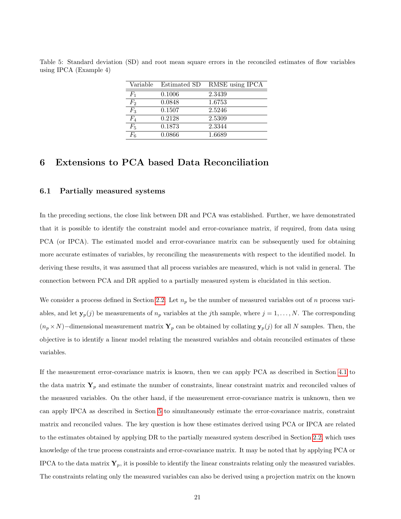| Variable                    | Estimated SD | RMSE using IPCA |
|-----------------------------|--------------|-----------------|
| $F_{\scriptscriptstyle{1}}$ | 0.1006       | 2.3439          |
| $F_2$                       | 0.0848       | 1.6753          |
| $F_3$                       | 0.1507       | 2.5246          |
| $F_4$                       | 0.2128       | 2.5309          |
| $F_5$                       | 0.1873       | 2.3344          |
| $F_6$                       | 0.0866       | 1.6689          |

<span id="page-20-1"></span>Table 5: Standard deviation (SD) and root mean square errors in the reconciled estimates of flow variables using IPCA (Example 4)

# <span id="page-20-0"></span>6 Extensions to PCA based Data Reconciliation

### 6.1 Partially measured systems

In the preceding sections, the close link between DR and PCA was established. Further, we have demonstrated that it is possible to identify the constraint model and error-covariance matrix, if required, from data using PCA (or IPCA). The estimated model and error-covariance matrix can be subsequently used for obtaining more accurate estimates of variables, by reconciling the measurements with respect to the identified model. In deriving these results, it was assumed that all process variables are measured, which is not valid in general. The connection between PCA and DR applied to a partially measured system is elucidated in this section.

We consider a process defined in Section [2.2.](#page-6-2) Let  $n_p$  be the number of measured variables out of n process variables, and let  $y_p(j)$  be measurements of  $n_p$  variables at the jth sample, where  $j = 1, ..., N$ . The corresponding  $(n_p \times N)$ −dimensional measurement matrix  $\mathbf{Y}_p$  can be obtained by collating  $\mathbf{y}_p(j)$  for all N samples. Then, the objective is to identify a linear model relating the measured variables and obtain reconciled estimates of these variables.

If the measurement error-covariance matrix is known, then we can apply PCA as described in Section [4.1](#page-13-0) to the data matrix  $Y_p$  and estimate the number of constraints, linear constraint matrix and reconciled values of the measured variables. On the other hand, if the measurement error-covariance matrix is unknown, then we can apply IPCA as described in Section [5](#page-17-0) to simultaneously estimate the error-covariance matrix, constraint matrix and reconciled values. The key question is how these estimates derived using PCA or IPCA are related to the estimates obtained by applying DR to the partially measured system described in Section [2.2,](#page-6-2) which uses knowledge of the true process constraints and error-covariance matrix. It may be noted that by applying PCA or IPCA to the data matrix  $Y_p$ , it is possible to identify the linear constraints relating only the measured variables. The constraints relating only the measured variables can also be derived using a projection matrix on the known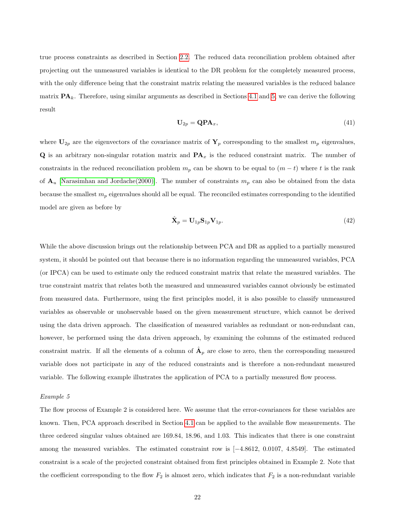true process constraints as described in Section [2.2.](#page-6-2) The reduced data reconciliation problem obtained after projecting out the unmeasured variables is identical to the DR problem for the completely measured process, with the only difference being that the constraint matrix relating the measured variables is the reduced balance matrix  $\mathbf{PA}_k$ . Therefore, using similar arguments as described in Sections [4.1](#page-13-0) and [5,](#page-17-0) we can derive the following result

$$
\mathbf{U}_{2p} = \mathbf{Q} \mathbf{P} \mathbf{A}_x, \tag{41}
$$

where  $U_{2p}$  are the eigenvectors of the covariance matrix of  $Y_p$  corresponding to the smallest  $m_p$  eigenvalues,  $\bf{Q}$  is an arbitrary non-singular rotation matrix and  $\bf{PA}_x$  is the reduced constraint matrix. The number of constraints in the reduced reconciliation problem  $m_p$  can be shown to be equal to  $(m - t)$  where t is the rank of  $\mathbf{A}_u$  [\[Narasimhan and Jordache\(2000\)\]](#page-30-2). The number of constraints  $m_p$  can also be obtained from the data because the smallest  $m_p$  eigenvalues should all be equal. The reconciled estimates corresponding to the identified model are given as before by

$$
\hat{\mathbf{X}}_p = \mathbf{U}_{1p} \mathbf{S}_{1p} \mathbf{V}_{1p}.
$$
\n(42)

While the above discussion brings out the relationship between PCA and DR as applied to a partially measured system, it should be pointed out that because there is no information regarding the unmeasured variables, PCA (or IPCA) can be used to estimate only the reduced constraint matrix that relate the measured variables. The true constraint matrix that relates both the measured and unmeasured variables cannot obviously be estimated from measured data. Furthermore, using the first principles model, it is also possible to classify unmeasured variables as observable or unobservable based on the given measurement structure, which cannot be derived using the data driven approach. The classification of measured variables as redundant or non-redundant can, however, be performed using the data driven approach, by examining the columns of the estimated reduced constraint matrix. If all the elements of a column of  $\hat{A}_p$  are close to zero, then the corresponding measured variable does not participate in any of the reduced constraints and is therefore a non-redundant measured variable. The following example illustrates the application of PCA to a partially measured flow process.

### Example 5

The flow process of Example 2 is considered here. We assume that the error-covariances for these variables are known. Then, PCA approach described in Section [4.1](#page-13-0) can be applied to the available flow measurements. The three ordered singular values obtained are 169.84, 18.96, and 1.03. This indicates that there is one constraint among the measured variables. The estimated constraint row is [−4.8612, 0.0107, 4.8549]. The estimated constraint is a scale of the projected constraint obtained from first principles obtained in Example 2. Note that the coefficient corresponding to the flow  $F_2$  is almost zero, which indicates that  $F_2$  is a non-redundant variable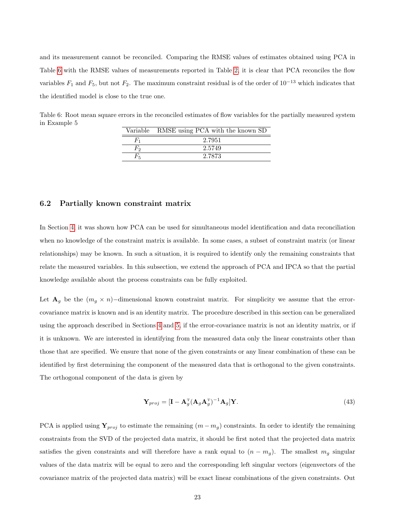and its measurement cannot be reconciled. Comparing the RMSE values of estimates obtained using PCA in Table [6](#page-22-0) with the RMSE values of measurements reported in Table [2,](#page-6-1) it is clear that PCA reconciles the flow variables  $F_1$  and  $F_5$ , but not  $F_2$ . The maximum constraint residual is of the order of 10<sup>-13</sup> which indicates that the identified model is close to the true one.

<span id="page-22-0"></span>Table 6: Root mean square errors in the reconciled estimates of flow variables for the partially measured system in Example 5

|       | Variable RMSE using PCA with the known SD |
|-------|-------------------------------------------|
| $F_1$ | 2.7951                                    |
| F,    | 2.5749                                    |
| Fκ    | 2.7873                                    |
|       |                                           |

### 6.2 Partially known constraint matrix

In Section [4,](#page-10-0) it was shown how PCA can be used for simultaneous model identification and data reconciliation when no knowledge of the constraint matrix is available. In some cases, a subset of constraint matrix (or linear relationships) may be known. In such a situation, it is required to identify only the remaining constraints that relate the measured variables. In this subsection, we extend the approach of PCA and IPCA so that the partial knowledge available about the process constraints can be fully exploited.

Let  $\mathbf{A}_g$  be the  $(m_g \times n)$ −dimensional known constraint matrix. For simplicity we assume that the errorcovariance matrix is known and is an identity matrix. The procedure described in this section can be generalized using the approach described in Sections [4](#page-10-0) and [5,](#page-17-0) if the error-covariance matrix is not an identity matrix, or if it is unknown. We are interested in identifying from the measured data only the linear constraints other than those that are specified. We ensure that none of the given constraints or any linear combination of these can be identified by first determining the component of the measured data that is orthogonal to the given constraints. The orthogonal component of the data is given by

$$
\mathbf{Y}_{proj} = [\mathbf{I} - \mathbf{A}_g^{\mathrm{T}} (\mathbf{A}_g \mathbf{A}_g^{\mathrm{T}})^{-1} \mathbf{A}_g] \mathbf{Y}.
$$
\n(43)

PCA is applied using  $Y_{proj}$  to estimate the remaining  $(m - m_g)$  constraints. In order to identify the remaining constraints from the SVD of the projected data matrix, it should be first noted that the projected data matrix satisfies the given constraints and will therefore have a rank equal to  $(n - m_g)$ . The smallest  $m_g$  singular values of the data matrix will be equal to zero and the corresponding left singular vectors (eigenvectors of the covariance matrix of the projected data matrix) will be exact linear combinations of the given constraints. Out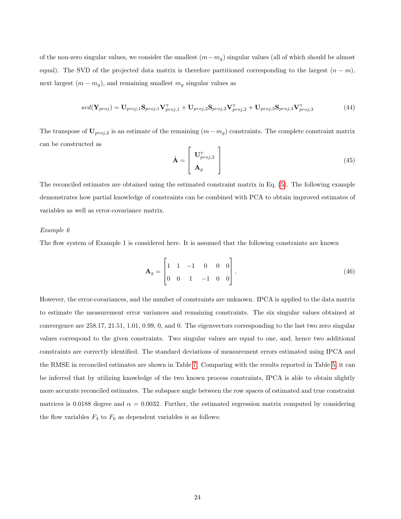of the non-zero singular values, we consider the smallest  $(m-m_g)$  singular values (all of which should be almost equal). The SVD of the projected data matrix is therefore partitioned corresponding to the largest  $(n - m)$ , next largest  $(m - m_g)$ , and remaining smallest  $m_g$  singular values as

$$
svd(\mathbf{Y}_{proj}) = \mathbf{U}_{proj,1} \mathbf{S}_{proj,1} \mathbf{V}_{proj,1}^{\mathrm{T}} + \mathbf{U}_{proj,2} \mathbf{S}_{proj,2} \mathbf{V}_{proj,2}^{\mathrm{T}} + \mathbf{U}_{proj,3} \mathbf{S}_{proj,3} \mathbf{V}_{proj,3}^{\mathrm{T}} \tag{44}
$$

The transpose of  $U_{proj,2}$  is an estimate of the remaining  $(m - m_g)$  constraints. The complete constraint matrix can be constructed as

$$
\hat{\mathbf{A}} = \begin{bmatrix} \mathbf{U}_{proj,2}^{T} \\ \mathbf{A}_{g} \end{bmatrix}
$$
 (45)

The reconciled estimates are obtained using the estimated constraint matrix in Eq. [\(5\)](#page-4-0). The following example demonstrates how partial knowledge of constraints can be combined with PCA to obtain improved estimates of variables as well as error-covariance matrix.

### Example 6

The flow system of Example 1 is considered here. It is assumed that the following constraints are known

$$
\mathbf{A}_g = \begin{bmatrix} 1 & 1 & -1 & 0 & 0 & 0 \\ 0 & 0 & 1 & -1 & 0 & 0 \end{bmatrix} . \tag{46}
$$

However, the error-covariances, and the number of constraints are unknown. IPCA is applied to the data matrix to estimate the measurement error variances and remaining constraints. The six singular values obtained at convergence are 258.17, 21.51, 1.01, 0.99, 0, and 0. The eigenvectors corresponding to the last two zero singular values correspond to the given constraints. Two singular values are equal to one, and, hence two additional constraints are correctly identified. The standard deviations of measurement errors estimated using IPCA and the RMSE in reconciled estimates are shown in Table [7.](#page-24-0) Comparing with the results reported in Table [5,](#page-20-1) it can be inferred that by utilizing knowledge of the two known process constraints, IPCA is able to obtain slightly more accurate reconciled estimates. The subspace angle between the row spaces of estimated and true constraint matrices is 0.0188 degree and  $\alpha = 0.0032$ . Further, the estimated regression matrix computed by considering the flow variables  $F_3$  to  $F_6$  as dependent variables is as follows: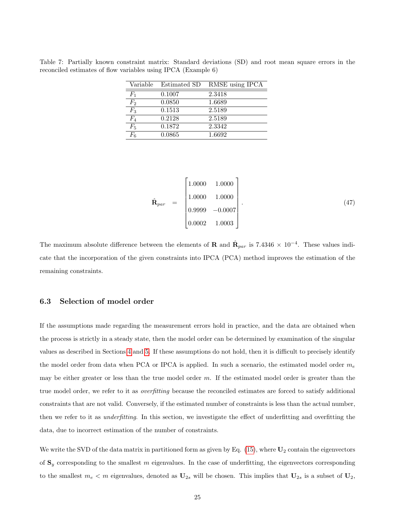| Variable       | Estimated SD | RMSE using IPCA |
|----------------|--------------|-----------------|
| $F_1$          | 0.1007       | 2.3418          |
| F <sub>2</sub> | 0.0850       | 1.6689          |
| $F_3$          | 0.1513       | 2.5189          |
| $F_4$          | 0.2128       | 2.5189          |
| $F_5$          | 0.1872       | 2.3342          |
| $F_6$          | 0.0865       | 1.6692          |

<span id="page-24-0"></span>Table 7: Partially known constraint matrix: Standard deviations (SD) and root mean square errors in the reconciled estimates of flow variables using IPCA (Example 6)

$$
\hat{\mathbf{R}}_{par} = \begin{bmatrix} 1.0000 & 1.0000 \\ 1.0000 & 1.0000 \\ 0.9999 & -0.0007 \\ 0.0002 & 1.0003 \end{bmatrix} . \tag{47}
$$

The maximum absolute difference between the elements of **R** and  $\hat{\mathbf{R}}_{par}$  is 7.4346  $\times$  10<sup>-4</sup>. These values indicate that the incorporation of the given constraints into IPCA (PCA) method improves the estimation of the remaining constraints.

### 6.3 Selection of model order

If the assumptions made regarding the measurement errors hold in practice, and the data are obtained when the process is strictly in a steady state, then the model order can be determined by examination of the singular values as described in Sections [4](#page-10-0) and [5.](#page-17-0) If these assumptions do not hold, then it is difficult to precisely identify the model order from data when PCA or IPCA is applied. In such a scenario, the estimated model order  $m_e$ may be either greater or less than the true model order  $m$ . If the estimated model order is greater than the true model order, we refer to it as *overfitting* because the reconciled estimates are forced to satisfy additional constraints that are not valid. Conversely, if the estimated number of constraints is less than the actual number, then we refer to it as *underfitting*. In this section, we investigate the effect of underfitting and overfitting the data, due to incorrect estimation of the number of constraints.

We write the SVD of the data matrix in partitioned form as given by Eq.  $(15)$ , where  $U_2$  contain the eigenvectors of  $\mathbf{S}_y$  corresponding to the smallest m eigenvalues. In the case of underfitting, the eigenvectors corresponding to the smallest  $m_e < m$  eigenvalues, denoted as  $U_{2s}$  will be chosen. This implies that  $U_{2s}$  is a subset of  $U_2$ ,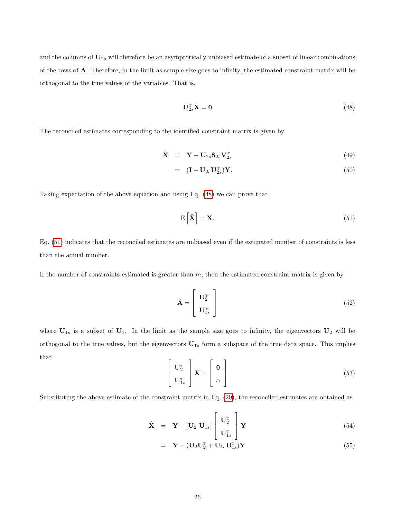and the columns of  $U_{2s}$  will therefore be an asymptotically unbiased estimate of a subset of linear combinations of the rows of A. Therefore, in the limit as sample size goes to infinity, the estimated constraint matrix will be orthogonal to the true values of the variables. That is,

<span id="page-25-0"></span>
$$
\mathbf{U}_{2s}^{\mathrm{T}}\mathbf{X} = \mathbf{0} \tag{48}
$$

The reconciled estimates corresponding to the identified constraint matrix is given by

$$
\hat{\mathbf{X}} = \mathbf{Y} - \mathbf{U}_{2s} \mathbf{S}_{2s} \mathbf{V}_{2s}^{\mathrm{T}}
$$
\n(49)

$$
= (\mathbf{I} - \mathbf{U}_{2s} \mathbf{U}_{2s}^{\mathrm{T}}) \mathbf{Y}. \tag{50}
$$

Taking expectation of the above equation and using Eq. [\(48\)](#page-25-0) we can prove that

<span id="page-25-1"></span>
$$
E\left[\hat{\mathbf{X}}\right] = \mathbf{X}.\tag{51}
$$

Eq. [\(51\)](#page-25-1) indicates that the reconciled estimates are unbiased even if the estimated number of constraints is less than the actual number.

If the number of constraints estimated is greater than  $m$ , then the estimated constraint matrix is given by

$$
\hat{\mathbf{A}} = \begin{bmatrix} \mathbf{U}_2^{\mathrm{T}} \\ \mathbf{U}_{1s}^{\mathrm{T}} \end{bmatrix}
$$
 (52)

<span id="page-25-2"></span>where  $U_{1s}$  is a subset of  $U_1$ . In the limit as the sample size goes to infinity, the eigenvectors  $U_2$  will be orthogonal to the true values, but the eigenvectors  $U_{1s}$  form a subspace of the true data space. This implies that

$$
\begin{bmatrix} \mathbf{U}_2^{\mathrm{T}} \\ \mathbf{U}_{1s}^{\mathrm{T}} \end{bmatrix} \mathbf{X} = \begin{bmatrix} \mathbf{0} \\ \alpha \end{bmatrix}
$$
 (53)

Substituting the above estimate of the constraint matrix in Eq. [\(20\)](#page-12-1), the reconciled estimates are obtained as

$$
\hat{\mathbf{X}} = \mathbf{Y} - \left[\mathbf{U}_2 \ \mathbf{U}_{1s}\right] \begin{bmatrix} \mathbf{U}_2^{\mathrm{T}} \\ \mathbf{U}_{1s}^{\mathrm{T}} \end{bmatrix} \mathbf{Y} \tag{54}
$$

$$
= \mathbf{Y} - (\mathbf{U}_2 \mathbf{U}_2^{\mathrm{T}} + \mathbf{U}_{1s} \mathbf{U}_{1s}^{\mathrm{T}}) \mathbf{Y} \tag{55}
$$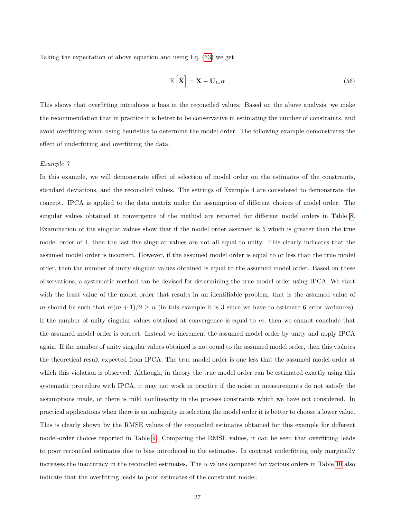Taking the expectation of above equation and using Eq. [\(53\)](#page-25-2) we get

$$
E\left[\hat{\mathbf{X}}\right] = \mathbf{X} - \mathbf{U}_{1s}\alpha\tag{56}
$$

This shows that overfitting introduces a bias in the reconciled values. Based on the above analysis, we make the recommendation that in practice it is better to be conservative in estimating the number of constraints, and avoid overfitting when using heuristics to determine the model order. The following example demonstrates the effect of underfitting and overfitting the data.

### Example 7

In this example, we will demonstrate effect of selection of model order on the estimates of the constraints, standard deviations, and the reconciled values. The settings of Example 4 are considered to demonstrate the concept. IPCA is applied to the data matrix under the assumption of different choices of model order. The singular values obtained at convergence of the method are reported for different model orders in Table [8.](#page-27-0) Examination of the singular values show that if the model order assumed is 5 which is greater than the true model order of 4, then the last five singular values are not all equal to unity. This clearly indicates that the assumed model order is incorrect. However, if the assumed model order is equal to or less than the true model order, then the number of unity singular values obtained is equal to the assumed model order. Based on these observations, a systematic method can be devised for determining the true model order using IPCA. We start with the least value of the model order that results in an identifiable problem, that is the assumed value of m should be such that  $m(m + 1)/2 \ge n$  (in this example it is 3 since we have to estimate 6 error variances). If the number of unity singular values obtained at convergence is equal to m, then we cannot conclude that the assumed model order is correct. Instead we increment the assumed model order by unity and apply IPCA again. If the number of unity singular values obtained is not equal to the assumed model order, then this violates the theoretical result expected from IPCA. The true model order is one less that the assumed model order at which this violation is observed. Although, in theory the true model order can be estimated exactly using this systematic procedure with IPCA, it may not work in practice if the noise in measurements do not satisfy the assumptions made, or there is mild nonlinearity in the process constraints which we have not considered. In practical applications when there is an ambiguity in selecting the model order it is better to choose a lower value. This is clearly shown by the RMSE values of the reconciled estimates obtained for this example for different model-order choices reported in Table [9.](#page-27-1) Comparing the RMSE values, it can be seen that overfitting leads to poor reconciled estimates due to bias introduced in the estimates. In contrast underfitting only marginally increases the inaccuracy in the reconciled estimates. The  $\alpha$  values computed for various orders in Table [10](#page-27-2) also indicate that the overfitting leads to poor estimates of the constraint model.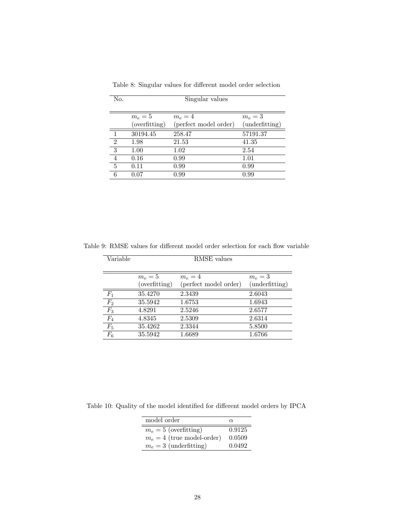<span id="page-27-0"></span>

| No.            |               | Singular values       |                |
|----------------|---------------|-----------------------|----------------|
|                | $m_e=5$       | $m_e=4$               | $m_e=3$        |
|                | (overfitting) | (perfect model order) | (underfitting) |
|                | 30194.45      | 258.47                | 57191.37       |
| $\overline{2}$ | 1.98          | 21.53                 | 41.35          |
| 3              | 1.00          | 1.02                  | 2.54           |
| $\overline{4}$ | 0.16          | 0.99                  | 1.01           |
| $\overline{5}$ | 0.11          | 0.99                  | 0.99           |
| 6              | 0.07          | 0.99                  | 0.99           |

Table 8: Singular values for different model order selection

<span id="page-27-1"></span>

|  |  |  | Table 9: RMSE values for different model order selection for each flow variable |  |  |
|--|--|--|---------------------------------------------------------------------------------|--|--|
|  |  |  |                                                                                 |  |  |

| Variable       |                          | RMSE values                      |                           |
|----------------|--------------------------|----------------------------------|---------------------------|
|                | $m_e=5$<br>(overfitting) | $m_e=4$<br>(perfect model order) | $m_e=3$<br>(underfitting) |
| $F_1$          | 35.4270                  | 2.3439                           | 2.6043                    |
| F <sub>2</sub> | 35.5942                  | 1.6753                           | 1.6943                    |
| $F_3$          | 4.8291                   | 2.5246                           | 2.6577                    |
| $F_4$          | 4.8345                   | 2.5309                           | 2.6314                    |
| $F_5$          | 35.4262                  | 2.3344                           | 5.8500                    |
| $F_6$          | 35.5942                  | 1.6689                           | 1.6766                    |

<span id="page-27-2"></span>Table 10: Quality of the model identified for different model orders by IPCA

| model order                  | $\alpha$ |
|------------------------------|----------|
| $m_e = 5$ (overfitting)      | 0.9125   |
| $m_e = 4$ (true model-order) | 0.0509   |
| $m_e = 3$ (underfitting)     | 0.0492   |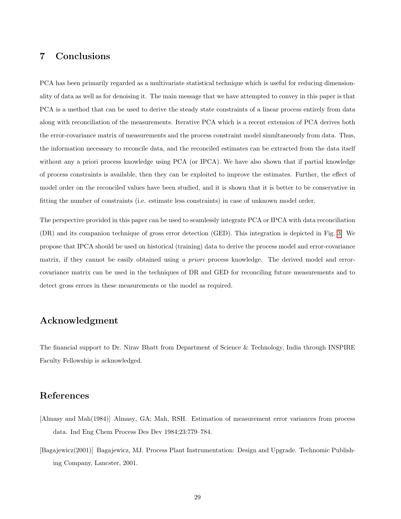# <span id="page-28-1"></span>7 Conclusions

PCA has been primarily regarded as a multivariate statistical technique which is useful for reducing dimensionality of data as well as for denoising it. The main message that we have attempted to convey in this paper is that PCA is a method that can be used to derive the steady state constraints of a linear process entirely from data along with reconciliation of the measurements. Iterative PCA which is a recent extension of PCA derives both the error-covariance matrix of measurements and the process constraint model simultaneously from data. Thus, the information necessary to reconcile data, and the reconciled estimates can be extracted from the data itself without any a priori process knowledge using PCA (or IPCA). We have also shown that if partial knowledge of process constraints is available, then they can be exploited to improve the estimates. Further, the effect of model order on the reconciled values have been studied, and it is shown that it is better to be conservative in fitting the number of constraints (i.e. estimate less constraints) in case of unknown model order.

The perspective provided in this paper can be used to seamlessly integrate PCA or IPCA with data reconciliation (DR) and its companion technique of gross error detection (GED). This integration is depicted in Fig. [3.](#page-29-7) We propose that IPCA should be used on historical (training) data to derive the process model and error-covariance matrix, if they cannot be easily obtained using a priori process knowledge. The derived model and errorcovariance matrix can be used in the techniques of DR and GED for reconciling future measurements and to detect gross errors in these measurements or the model as required.

# Acknowledgment

The financial support to Dr. Nirav Bhatt from Department of Science & Technology, India through INSPIRE Faculty Fellowship is acknowledged.

# References

- <span id="page-28-2"></span>[Almasy and Mah(1984)] Almasy, GA; Mah, RSH. Estimation of measurement error variances from process data. Ind Eng Chem Process Des Dev 1984;23:779–784.
- <span id="page-28-0"></span>[Bagajewicz(2001)] Bagajewicz, MJ. Process Plant Instrumentation: Design and Upgrade. Technomic Publishing Company, Lancster, 2001.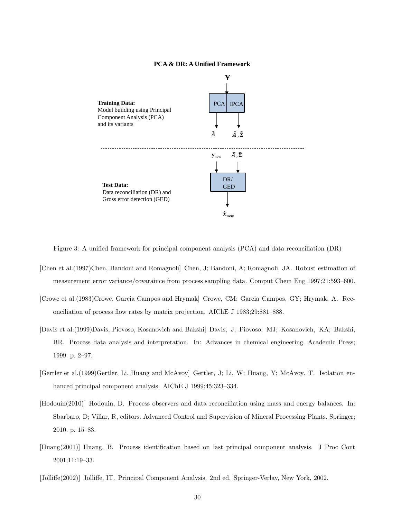### **PCA & DR: A Unified Framework**



<span id="page-29-7"></span>Figure 3: A unified framework for principal component analysis (PCA) and data reconciliation (DR)

- <span id="page-29-6"></span>[Chen et al.(1997)Chen, Bandoni and Romagnoli] Chen, J; Bandoni, A; Romagnoli, JA. Robust estimation of measurement error variance/covaraince from process sampling data. Comput Chem Eng 1997;21:593–600.
- <span id="page-29-3"></span>[Crowe et al.(1983)Crowe, Garcia Campos and Hrymak] Crowe, CM; Garcia Campos, GY; Hrymak, A. Reconciliation of process flow rates by matrix projection. AIChE J 1983;29:881–888.
- <span id="page-29-2"></span>[Davis et al.(1999)Davis, Piovoso, Kosanovich and Bakshi] Davis, J; Piovoso, MJ; Kosanovich, KA; Bakshi, BR. Process data analysis and interpretation. In: Advances in chemical engineering. Academic Press; 1999. p. 2–97.
- <span id="page-29-4"></span>[Gertler et al.(1999)Gertler, Li, Huang and McAvoy] Gertler, J; Li, W; Huang, Y; McAvoy, T. Isolation enhanced principal component analysis. AIChE J 1999;45:323–334.
- <span id="page-29-0"></span>[Hodouin(2010)] Hodouin, D. Process observers and data reconciliation using mass and energy balances. In: Sbarbaro, D; Villar, R, editors. Advanced Control and Supervision of Mineral Processing Plants. Springer; 2010. p. 15–83.
- <span id="page-29-5"></span>[Huang(2001)] Huang, B. Process identification based on last principal component analysis. J Proc Cont 2001;11:19–33.
- <span id="page-29-1"></span>[Jolliffe(2002)] Jolliffe, IT. Principal Component Analysis. 2nd ed. Springer-Verlay, New York, 2002.